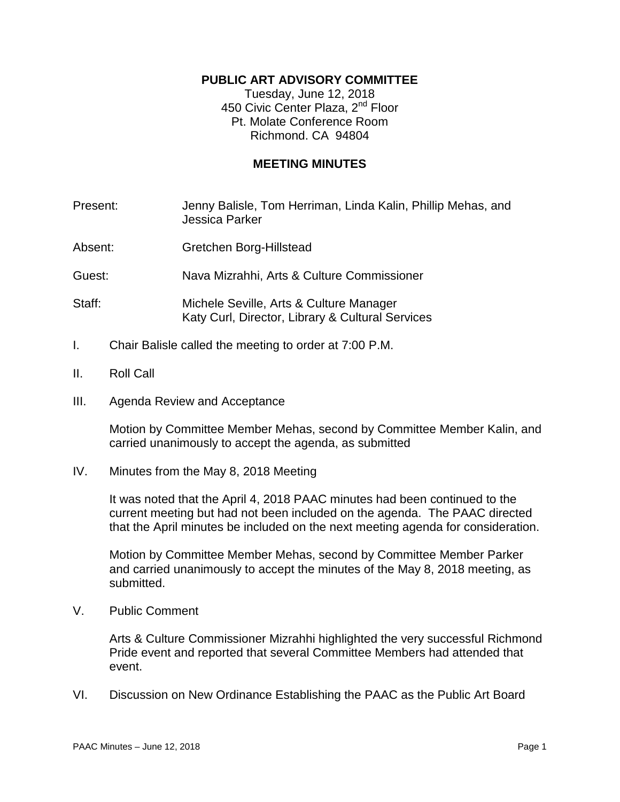## **PUBLIC ART ADVISORY COMMITTEE**

Tuesday, June 12, 2018 450 Civic Center Plaza, 2<sup>nd</sup> Floor Pt. Molate Conference Room Richmond. CA 94804

## **MEETING MINUTES**

- Present: Jenny Balisle, Tom Herriman, Linda Kalin, Phillip Mehas, and Jessica Parker
- Absent: Gretchen Borg-Hillstead

Guest: Nava Mizrahhi, Arts & Culture Commissioner

- Staff: Michele Seville, Arts & Culture Manager Katy Curl, Director, Library & Cultural Services
- I. Chair Balisle called the meeting to order at 7:00 P.M.
- II. Roll Call
- III. Agenda Review and Acceptance

Motion by Committee Member Mehas, second by Committee Member Kalin, and carried unanimously to accept the agenda, as submitted

IV. Minutes from the May 8, 2018 Meeting

It was noted that the April 4, 2018 PAAC minutes had been continued to the current meeting but had not been included on the agenda. The PAAC directed that the April minutes be included on the next meeting agenda for consideration.

Motion by Committee Member Mehas, second by Committee Member Parker and carried unanimously to accept the minutes of the May 8, 2018 meeting, as submitted.

V. Public Comment

Arts & Culture Commissioner Mizrahhi highlighted the very successful Richmond Pride event and reported that several Committee Members had attended that event.

VI. Discussion on New Ordinance Establishing the PAAC as the Public Art Board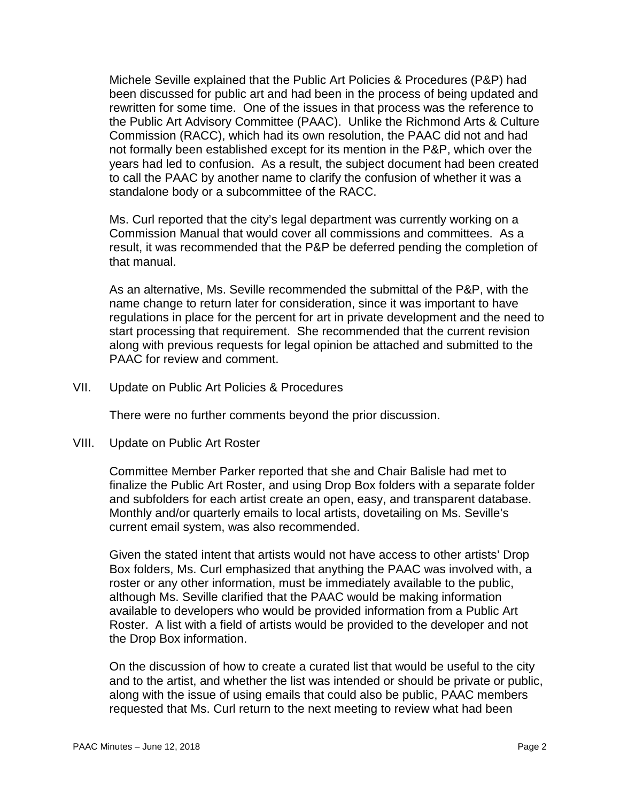Michele Seville explained that the Public Art Policies & Procedures (P&P) had been discussed for public art and had been in the process of being updated and rewritten for some time. One of the issues in that process was the reference to the Public Art Advisory Committee (PAAC). Unlike the Richmond Arts & Culture Commission (RACC), which had its own resolution, the PAAC did not and had not formally been established except for its mention in the P&P, which over the years had led to confusion. As a result, the subject document had been created to call the PAAC by another name to clarify the confusion of whether it was a standalone body or a subcommittee of the RACC.

Ms. Curl reported that the city's legal department was currently working on a Commission Manual that would cover all commissions and committees. As a result, it was recommended that the P&P be deferred pending the completion of that manual.

As an alternative, Ms. Seville recommended the submittal of the P&P, with the name change to return later for consideration, since it was important to have regulations in place for the percent for art in private development and the need to start processing that requirement. She recommended that the current revision along with previous requests for legal opinion be attached and submitted to the PAAC for review and comment.

VII. Update on Public Art Policies & Procedures

There were no further comments beyond the prior discussion.

VIII. Update on Public Art Roster

Committee Member Parker reported that she and Chair Balisle had met to finalize the Public Art Roster, and using Drop Box folders with a separate folder and subfolders for each artist create an open, easy, and transparent database. Monthly and/or quarterly emails to local artists, dovetailing on Ms. Seville's current email system, was also recommended.

Given the stated intent that artists would not have access to other artists' Drop Box folders, Ms. Curl emphasized that anything the PAAC was involved with, a roster or any other information, must be immediately available to the public, although Ms. Seville clarified that the PAAC would be making information available to developers who would be provided information from a Public Art Roster. A list with a field of artists would be provided to the developer and not the Drop Box information.

On the discussion of how to create a curated list that would be useful to the city and to the artist, and whether the list was intended or should be private or public, along with the issue of using emails that could also be public, PAAC members requested that Ms. Curl return to the next meeting to review what had been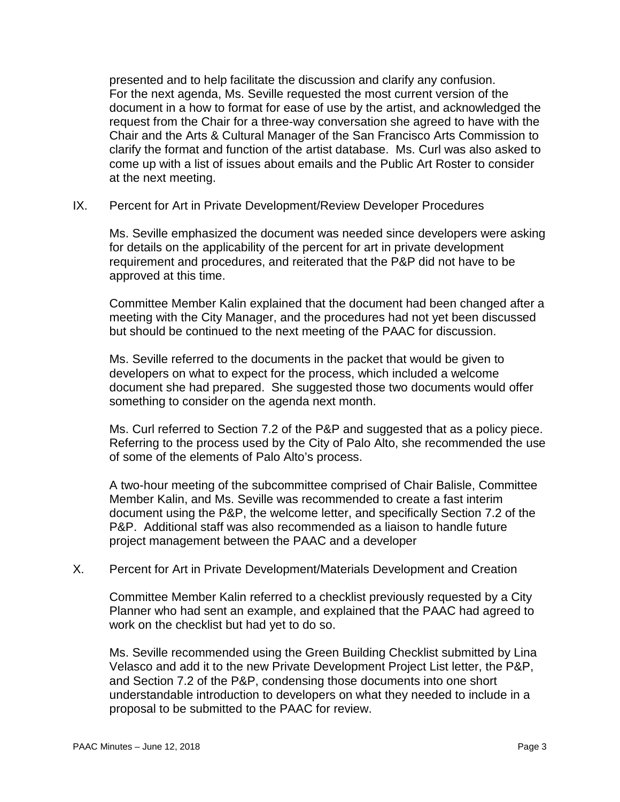presented and to help facilitate the discussion and clarify any confusion. For the next agenda, Ms. Seville requested the most current version of the document in a how to format for ease of use by the artist, and acknowledged the request from the Chair for a three-way conversation she agreed to have with the Chair and the Arts & Cultural Manager of the San Francisco Arts Commission to clarify the format and function of the artist database. Ms. Curl was also asked to come up with a list of issues about emails and the Public Art Roster to consider at the next meeting.

IX. Percent for Art in Private Development/Review Developer Procedures

Ms. Seville emphasized the document was needed since developers were asking for details on the applicability of the percent for art in private development requirement and procedures, and reiterated that the P&P did not have to be approved at this time.

Committee Member Kalin explained that the document had been changed after a meeting with the City Manager, and the procedures had not yet been discussed but should be continued to the next meeting of the PAAC for discussion.

Ms. Seville referred to the documents in the packet that would be given to developers on what to expect for the process, which included a welcome document she had prepared. She suggested those two documents would offer something to consider on the agenda next month.

Ms. Curl referred to Section 7.2 of the P&P and suggested that as a policy piece. Referring to the process used by the City of Palo Alto, she recommended the use of some of the elements of Palo Alto's process.

A two-hour meeting of the subcommittee comprised of Chair Balisle, Committee Member Kalin, and Ms. Seville was recommended to create a fast interim document using the P&P, the welcome letter, and specifically Section 7.2 of the P&P. Additional staff was also recommended as a liaison to handle future project management between the PAAC and a developer

X. Percent for Art in Private Development/Materials Development and Creation

Committee Member Kalin referred to a checklist previously requested by a City Planner who had sent an example, and explained that the PAAC had agreed to work on the checklist but had yet to do so.

Ms. Seville recommended using the Green Building Checklist submitted by Lina Velasco and add it to the new Private Development Project List letter, the P&P, and Section 7.2 of the P&P, condensing those documents into one short understandable introduction to developers on what they needed to include in a proposal to be submitted to the PAAC for review.